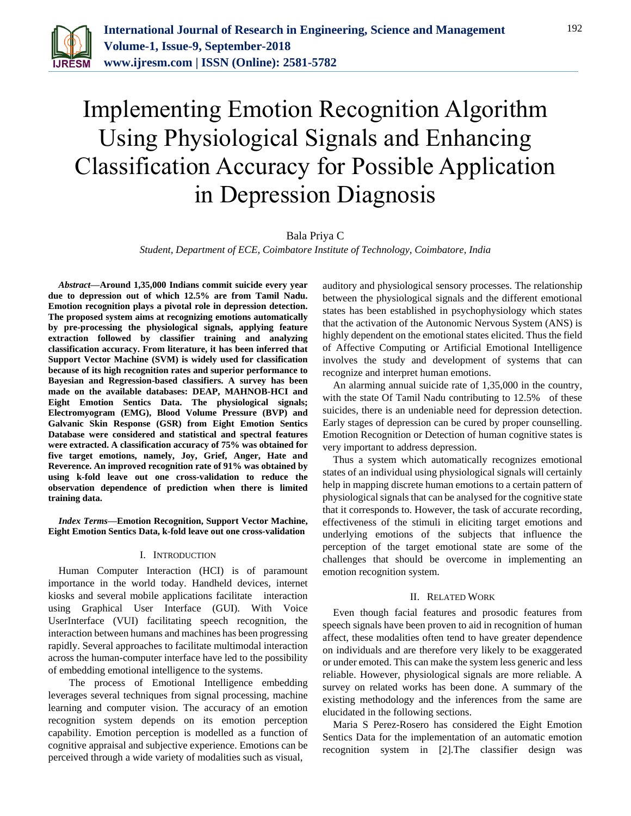

# Implementing Emotion Recognition Algorithm Using Physiological Signals and Enhancing Classification Accuracy for Possible Application in Depression Diagnosis

# Bala Priya C

*Student, Department of ECE, Coimbatore Institute of Technology, Coimbatore, India*

*Abstract***—Around 1,35,000 Indians commit suicide every year due to depression out of which 12.5% are from Tamil Nadu. Emotion recognition plays a pivotal role in depression detection. The proposed system aims at recognizing emotions automatically by pre-processing the physiological signals, applying feature extraction followed by classifier training and analyzing classification accuracy. From literature, it has been inferred that Support Vector Machine (SVM) is widely used for classification because of its high recognition rates and superior performance to Bayesian and Regression-based classifiers. A survey has been made on the available databases: DEAP, MAHNOB-HCI and Eight Emotion Sentics Data. The physiological signals; Electromyogram (EMG), Blood Volume Pressure (BVP) and Galvanic Skin Response (GSR) from Eight Emotion Sentics Database were considered and statistical and spectral features were extracted. A classification accuracy of 75% was obtained for five target emotions, namely, Joy, Grief, Anger, Hate and Reverence. An improved recognition rate of 91% was obtained by using k-fold leave out one cross-validation to reduce the observation dependence of prediction when there is limited training data.**

*Index Terms***—Emotion Recognition, Support Vector Machine, Eight Emotion Sentics Data, k-fold leave out one cross-validation**

## I. INTRODUCTION

Human Computer Interaction (HCI) is of paramount importance in the world today. Handheld devices, internet kiosks and several mobile applications facilitate interaction using Graphical User Interface (GUI). With Voice UserInterface (VUI) facilitating speech recognition, the interaction between humans and machines has been progressing rapidly. Several approaches to facilitate multimodal interaction across the human-computer interface have led to the possibility of embedding emotional intelligence to the systems.

The process of Emotional Intelligence embedding leverages several techniques from signal processing, machine learning and computer vision. The accuracy of an emotion recognition system depends on its emotion perception capability. Emotion perception is modelled as a function of cognitive appraisal and subjective experience. Emotions can be perceived through a wide variety of modalities such as visual,

auditory and physiological sensory processes. The relationship between the physiological signals and the different emotional states has been established in psychophysiology which states that the activation of the Autonomic Nervous System (ANS) is highly dependent on the emotional states elicited. Thus the field of Affective Computing or Artificial Emotional Intelligence involves the study and development of systems that can recognize and interpret human emotions.

An alarming annual suicide rate of 1,35,000 in the country, with the state Of Tamil Nadu contributing to 12.5% of these suicides, there is an undeniable need for depression detection. Early stages of depression can be cured by proper counselling. Emotion Recognition or Detection of human cognitive states is very important to address depression.

Thus a system which automatically recognizes emotional states of an individual using physiological signals will certainly help in mapping discrete human emotions to a certain pattern of physiological signals that can be analysed for the cognitive state that it corresponds to. However, the task of accurate recording, effectiveness of the stimuli in eliciting target emotions and underlying emotions of the subjects that influence the perception of the target emotional state are some of the challenges that should be overcome in implementing an emotion recognition system.

## II. RELATED WORK

Even though facial features and prosodic features from speech signals have been proven to aid in recognition of human affect, these modalities often tend to have greater dependence on individuals and are therefore very likely to be exaggerated or under emoted. This can make the system less generic and less reliable. However, physiological signals are more reliable. A survey on related works has been done. A summary of the existing methodology and the inferences from the same are elucidated in the following sections.

Maria S Perez-Rosero has considered the Eight Emotion Sentics Data for the implementation of an automatic emotion recognition system in [2].The classifier design was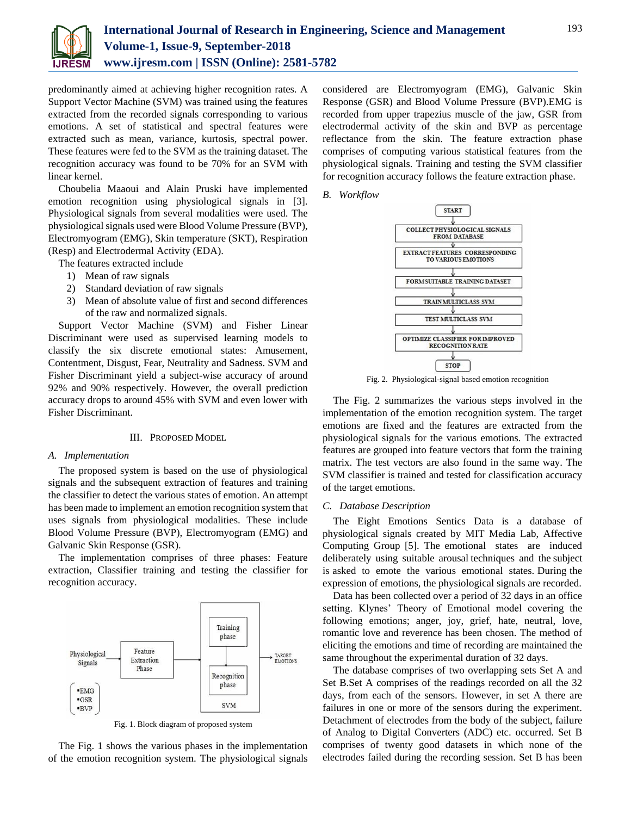

predominantly aimed at achieving higher recognition rates. A Support Vector Machine (SVM) was trained using the features extracted from the recorded signals corresponding to various emotions. A set of statistical and spectral features were extracted such as mean, variance, kurtosis, spectral power. These features were fed to the SVM as the training dataset. The recognition accuracy was found to be 70% for an SVM with linear kernel.

Choubelia Maaoui and Alain Pruski have implemented emotion recognition using physiological signals in [3]. Physiological signals from several modalities were used. The physiological signals used were Blood Volume Pressure (BVP), Electromyogram (EMG), Skin temperature (SKT), Respiration (Resp) and Electrodermal Activity (EDA).

The features extracted include

- 1) Mean of raw signals
- 2) Standard deviation of raw signals
- 3) Mean of absolute value of first and second differences of the raw and normalized signals.

Support Vector Machine (SVM) and Fisher Linear Discriminant were used as supervised learning models to classify the six discrete emotional states: Amusement, Contentment, Disgust, Fear, Neutrality and Sadness. SVM and Fisher Discriminant yield a subject-wise accuracy of around 92% and 90% respectively. However, the overall prediction accuracy drops to around 45% with SVM and even lower with Fisher Discriminant.

## III. PROPOSED MODEL

## *A. Implementation*

The proposed system is based on the use of physiological signals and the subsequent extraction of features and training the classifier to detect the various states of emotion. An attempt has been made to implement an emotion recognition system that uses signals from physiological modalities. These include Blood Volume Pressure (BVP), Electromyogram (EMG) and Galvanic Skin Response (GSR).

The implementation comprises of three phases: Feature extraction, Classifier training and testing the classifier for recognition accuracy.



Fig. 1. Block diagram of proposed system

The Fig. 1 shows the various phases in the implementation of the emotion recognition system. The physiological signals considered are Electromyogram (EMG), Galvanic Skin Response (GSR) and Blood Volume Pressure (BVP).EMG is recorded from upper trapezius muscle of the jaw, GSR from electrodermal activity of the skin and BVP as percentage reflectance from the skin. The feature extraction phase comprises of computing various statistical features from the physiological signals. Training and testing the SVM classifier for recognition accuracy follows the feature extraction phase.

*B. Workflow*



Fig. 2. Physiological-signal based emotion recognition

The Fig. 2 summarizes the various steps involved in the implementation of the emotion recognition system. The target emotions are fixed and the features are extracted from the physiological signals for the various emotions. The extracted features are grouped into feature vectors that form the training matrix. The test vectors are also found in the same way. The SVM classifier is trained and tested for classification accuracy of the target emotions.

#### *C. Database Description*

The Eight Emotions Sentics Data is a database of physiological signals created by MIT Media Lab, Affective Computing Group [5]. The emotional states are induced deliberately using suitable arousal techniques and the subject is asked to emote the various emotional states. During the expression of emotions, the physiological signals are recorded.

Data has been collected over a period of 32 days in an office setting. Klynes' Theory of Emotional model covering the following emotions; anger, joy, grief, hate, neutral, love, romantic love and reverence has been chosen. The method of eliciting the emotions and time of recording are maintained the same throughout the experimental duration of 32 days.

The database comprises of two overlapping sets Set A and Set B.Set A comprises of the readings recorded on all the 32 days, from each of the sensors. However, in set A there are failures in one or more of the sensors during the experiment. Detachment of electrodes from the body of the subject, failure of Analog to Digital Converters (ADC) etc. occurred. Set B comprises of twenty good datasets in which none of the electrodes failed during the recording session. Set B has been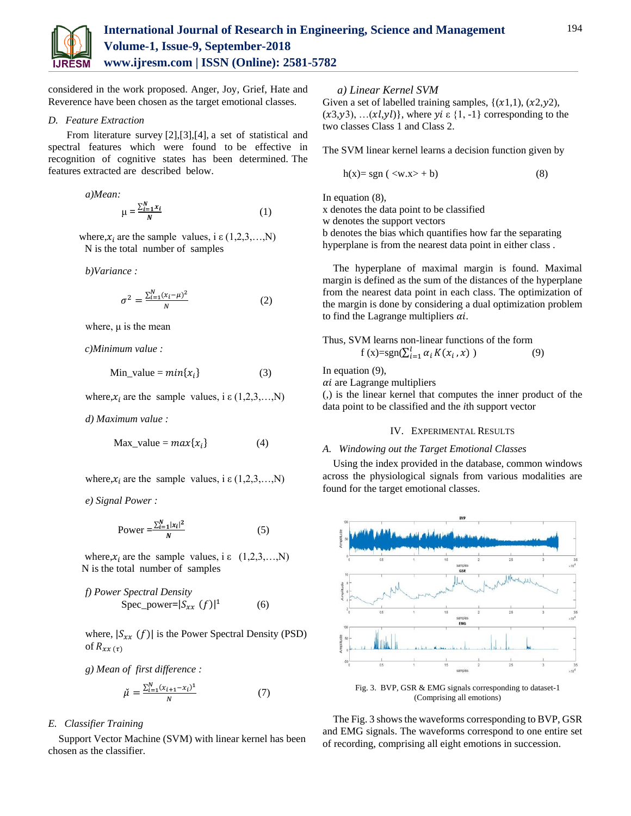

considered in the work proposed. Anger, Joy, Grief, Hate and Reverence have been chosen as the target emotional classes.

## *D. Feature Extraction*

From literature survey [2],[3],[4], a set of statistical and spectral features which were found to be effective in recognition of cognitive states has been determined. The features extracted are described below.

a)Mean:  

$$
\mu = \frac{\sum_{i=1}^{N} x_i}{N}
$$
 (1)

where,  $x_i$  are the sample values, i  $\varepsilon$  (1,2,3,...,N) N is the total number of samples

*b)Variance :*

$$
\sigma^2 = \frac{\sum_{i=1}^{N} (x_i - \mu)^2}{N}
$$
 (2)

where,  $\mu$  is the mean

 *c)Minimum value :*

$$
Min_value = min\{x_i\}
$$
 (3)

where,  $x_i$  are the sample values, i  $\varepsilon$  (1,2,3,...,N)

*d) Maximum value :*

$$
Max_value = max{xi} \t(4)
$$

where,  $x_i$  are the sample values, i  $\varepsilon$  (1,2,3,...,N)

*e) Signal Power :*

$$
Power = \frac{\sum_{i=1}^{N} |x_i|^2}{N}
$$
 (5)

where,  $x_i$  are the sample values, i  $\varepsilon$  (1,2,3,...,N) N is the total number of samples

*f)* Power Spectral Density  
Spec-power=
$$
|S_{xx}(f)|^1
$$
 (6)

where,  $|S_{xx}(f)|$  is the Power Spectral Density (PSD) of  $R_{xx}(\tau)$ 

*g) Mean of first difference :*

$$
\check{\mu} = \frac{\sum_{i=1}^{N} (x_{i+1} - x_i)^2}{N} \tag{7}
$$

# *E. Classifier Training*

Support Vector Machine (SVM) with linear kernel has been chosen as the classifier.

*a) Linear Kernel SVM* 

Given a set of labelled training samples,  $\{(x1,1), (x2,y2),$  $(x3,y3), \ldots (x1,y1)$ , where  $yi \in \{1, -1\}$  corresponding to the two classes Class 1 and Class 2.

The SVM linear kernel learns a decision function given by

$$
h(x) = sgn \left( \langle w.x \rangle + b \right) \tag{8}
$$

In equation (8),

x denotes the data point to be classified

w denotes the support vectors

b denotes the bias which quantifies how far the separating hyperplane is from the nearest data point in either class .

The hyperplane of maximal margin is found. Maximal margin is defined as the sum of the distances of the hyperplane from the nearest data point in each class. The optimization of the margin is done by considering a dual optimization problem to find the Lagrange multipliers  $ai$ .

Thus, SVM learns non-linear functions of the form

f (x)=sgn( $\sum_{i=1}^{l} \alpha_i K(x_i, x)$ ) (9)

In equation (9),

 $\alpha i$  are Lagrange multipliers

(,) is the linear kernel that computes the inner product of the data point to be classified and the *i*th support vector

# IV. EXPERIMENTAL RESULTS

# *A. Windowing out the Target Emotional Classes*

Using the index provided in the database, common windows across the physiological signals from various modalities are found for the target emotional classes.



Fig. 3. BVP, GSR & EMG signals corresponding to dataset-1 (Comprising all emotions)

The Fig. 3 shows the waveforms corresponding to BVP, GSR and EMG signals. The waveforms correspond to one entire set of recording, comprising all eight emotions in succession.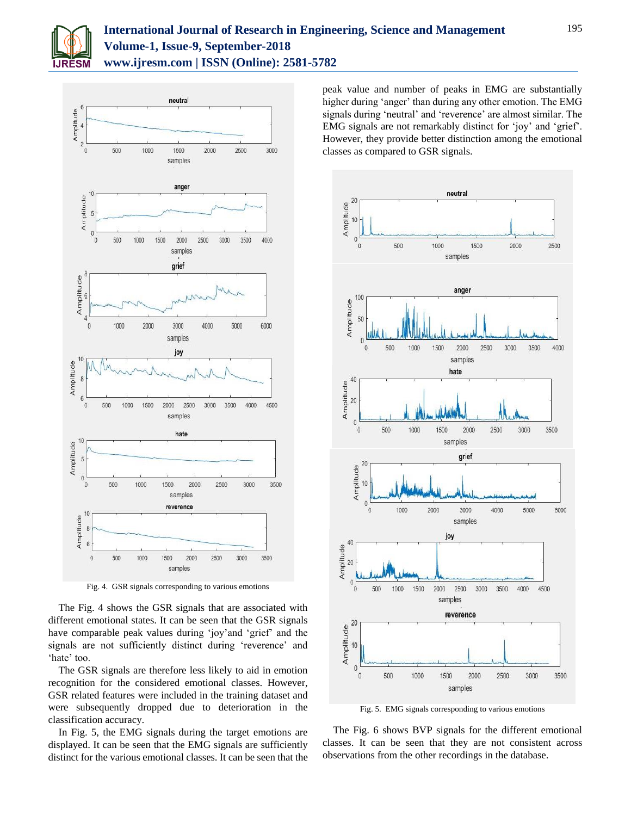



Fig. 4. GSR signals corresponding to various emotions

The Fig. 4 shows the GSR signals that are associated with different emotional states. It can be seen that the GSR signals have comparable peak values during 'joy'and 'grief' and the signals are not sufficiently distinct during 'reverence' and 'hate' too.

The GSR signals are therefore less likely to aid in emotion recognition for the considered emotional classes. However, GSR related features were included in the training dataset and were subsequently dropped due to deterioration in the classification accuracy.

In Fig. 5, the EMG signals during the target emotions are displayed. It can be seen that the EMG signals are sufficiently distinct for the various emotional classes. It can be seen that the peak value and number of peaks in EMG are substantially higher during 'anger' than during any other emotion. The EMG signals during 'neutral' and 'reverence' are almost similar. The EMG signals are not remarkably distinct for 'joy' and 'grief'. However, they provide better distinction among the emotional classes as compared to GSR signals.



Fig. 5. EMG signals corresponding to various emotions

The Fig. 6 shows BVP signals for the different emotional classes. It can be seen that they are not consistent across observations from the other recordings in the database.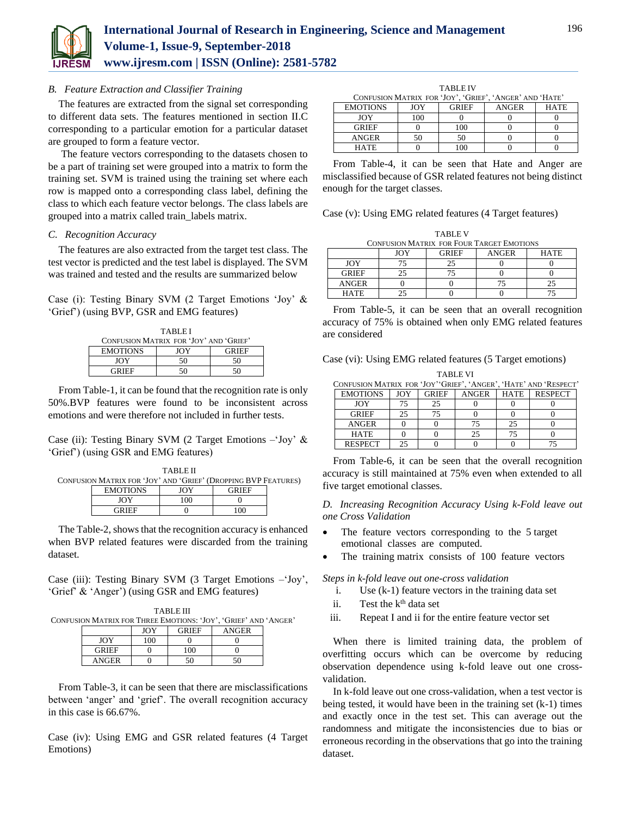

# *B. Feature Extraction and Classifier Training*

The features are extracted from the signal set corresponding to different data sets. The features mentioned in section II.C corresponding to a particular emotion for a particular dataset are grouped to form a feature vector.

The feature vectors corresponding to the datasets chosen to be a part of training set were grouped into a matrix to form the training set. SVM is trained using the training set where each row is mapped onto a corresponding class label, defining the class to which each feature vector belongs. The class labels are grouped into a matrix called train\_labels matrix.

## *C. Recognition Accuracy*

The features are also extracted from the target test class. The test vector is predicted and the test label is displayed. The SVM was trained and tested and the results are summarized below

Case (i): Testing Binary SVM (2 Target Emotions 'Joy' & 'Grief') (using BVP, GSR and EMG features)

| <b>TABLEI</b>                          |     |              |  |  |
|----------------------------------------|-----|--------------|--|--|
| CONFUSION MATRIX FOR 'JOY' AND 'GRIEF' |     |              |  |  |
| <b>EMOTIONS</b>                        | JOY | <b>GRIEF</b> |  |  |
| <b>JOY</b>                             | 50  | 50           |  |  |
| GRIEE                                  | ٢Λ  |              |  |  |

From Table-1, it can be found that the recognition rate is only 50%.BVP features were found to be inconsistent across emotions and were therefore not included in further tests.

Case (ii): Testing Binary SVM (2 Target Emotions  $-i$  Joy' & 'Grief') (using GSR and EMG features)

|                                                                | <b>TABLE II</b> |              |  |
|----------------------------------------------------------------|-----------------|--------------|--|
| CONFUSION MATRIX FOR 'JOY' AND 'GRIEF' (DROPPING BVP FEATURES) |                 |              |  |
| <b>EMOTIONS</b>                                                | IOY             | <b>GRIEF</b> |  |
| JOY                                                            | 100             |              |  |
| GRIEF                                                          |                 | $^{00}$      |  |

The Table-2, shows that the recognition accuracy is enhanced when BVP related features were discarded from the training dataset.

Case (iii): Testing Binary SVM (3 Target Emotions –'Joy', 'Grief' & 'Anger') (using GSR and EMG features)

TABLE III CONFUSION MATRIX FOR THREE EMOTIONS: 'JOY', 'GRIEF' AND 'ANGER' JOY GRIEF ANGER

|              | JUI | UNIEF | ANUER |
|--------------|-----|-------|-------|
| <b>JOY</b>   | 100 |       |       |
| <b>GRIEF</b> |     | 100   |       |
| ANGER        |     | 50    | 50    |

From Table-3, it can be seen that there are misclassifications between 'anger' and 'grief'. The overall recognition accuracy in this case is 66.67%.

Case (iv): Using EMG and GSR related features (4 Target Emotions)

TABLE IV CONFUSION MATRIX FOR 'JOY', 'GRIEF', 'ANGER' AND 'HATE' EMOTIONS JOY GRIEF ANGER HATE JOY | 100 | 0 | 0 | 0

GRIEF | 0 | 100 | 0 | 0 ANGER 50 50 0 0 HATE 0 100 0 0

From Table-4, it can be seen that Hate and Anger are misclassified because of GSR related features not being distinct enough for the target classes.

Case (v): Using EMG related features (4 Target features)

| TABLE V                                          |                                                    |    |  |  |  |
|--------------------------------------------------|----------------------------------------------------|----|--|--|--|
| <b>CONFUSION MATRIX FOR FOUR TARGET EMOTIONS</b> |                                                    |    |  |  |  |
|                                                  | JOY<br><b>GRIEF</b><br><b>ANGER</b><br><b>HATE</b> |    |  |  |  |
| JOY                                              |                                                    | 25 |  |  |  |
| <b>GRIEF</b>                                     |                                                    |    |  |  |  |
| ANGER                                            |                                                    |    |  |  |  |
| <b>HATE</b>                                      |                                                    |    |  |  |  |

TABLE V

From Table-5, it can be seen that an overall recognition accuracy of 75% is obtained when only EMG related features are considered

Case (vi): Using EMG related features (5 Target emotions)

TABLE VI CONFUSION MATRIX FOR 'JOY''GRIEF', 'ANGER', 'HATE' AND 'RESPECT' EMOTIONS | JOY | GRIEF | ANGER | HATE | RESPECT JOY 75 25 0 0 0 GRIEF 25 75 0 0 0 ANGER 0 0 75 25 0<br>
HATE 0 0 25 75 0  $HATE$  0 0 25 75 0 RESPECT 25 0 0 0 75

From Table-6, it can be seen that the overall recognition accuracy is still maintained at 75% even when extended to all five target emotional classes.

*D. Increasing Recognition Accuracy Using k-Fold leave out one Cross Validation*

- The feature vectors corresponding to the 5 target emotional classes are computed.
- The training matrix consists of 100 feature vectors

*Steps in k-fold leave out one-cross validation*

- i. Use (k-1) feature vectors in the training data set
- ii. Test the  $k<sup>th</sup>$  data set
- iii. Repeat I and ii for the entire feature vector set

When there is limited training data, the problem of overfitting occurs which can be overcome by reducing observation dependence using k-fold leave out one crossvalidation.

In k-fold leave out one cross-validation, when a test vector is being tested, it would have been in the training set (k-1) times and exactly once in the test set. This can average out the randomness and mitigate the inconsistencies due to bias or erroneous recording in the observations that go into the training dataset.